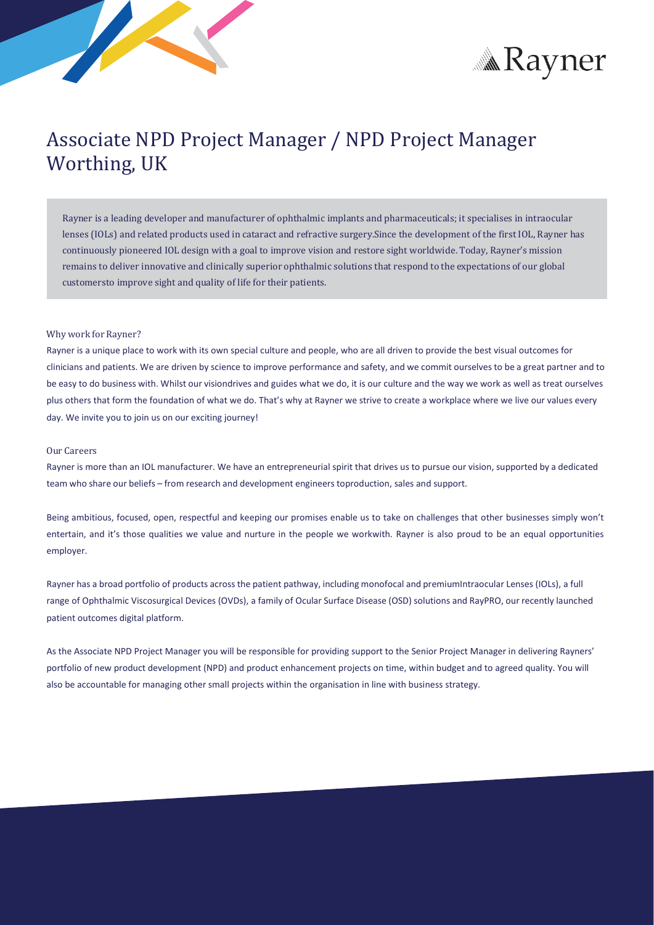



# Associate NPD Project Manager / NPD Project Manager Worthing, UK

Rayner is a leading developer and manufacturer of ophthalmic implants and pharmaceuticals; it specialises in intraocular lenses (IOLs) and related products used in cataract and refractive surgery.Since the development of the first IOL, Rayner has continuously pioneered IOL design with a goal to improve vision and restore sight worldwide. Today, Rayner's mission remains to deliver innovative and clinically superior ophthalmic solutions that respond to the expectations of our global customersto improve sight and quality of life for their patients.

# Why work for Rayner?

Rayner is a unique place to work with its own special culture and people, who are all driven to provide the best visual outcomes for clinicians and patients. We are driven by science to improve performance and safety, and we commit ourselves to be a great partner and to be easy to do business with. Whilst our visiondrives and guides what we do, it is our culture and the way we work as well as treat ourselves plus others that form the foundation of what we do. That's why at Rayner we strive to create a workplace where we live our values every day. We invite you to join us on our exciting journey!

## Our Careers

Rayner is more than an IOL manufacturer. We have an entrepreneurial spirit that drives us to pursue our vision, supported by a dedicated team who share our beliefs – from research and development engineerstoproduction, sales and support.

Being ambitious, focused, open, respectful and keeping our promises enable us to take on challenges that other businesses simply won't entertain, and it's those qualities we value and nurture in the people we workwith. Rayner is also proud to be an equal opportunities employer.

Rayner has a broad portfolio of products acrossthe patient pathway, including monofocal and premiumIntraocular Lenses (IOLs), a full range of Ophthalmic Viscosurgical Devices (OVDs), a family of Ocular Surface Disease (OSD) solutions and RayPRO, our recently launched patient outcomes digital platform.

As the Associate NPD Project Manager you will be responsible for providing support to the Senior Project Manager in delivering Rayners' portfolio of new product development (NPD) and product enhancement projects on time, within budget and to agreed quality. You will also be accountable for managing other small projects within the organisation in line with business strategy.